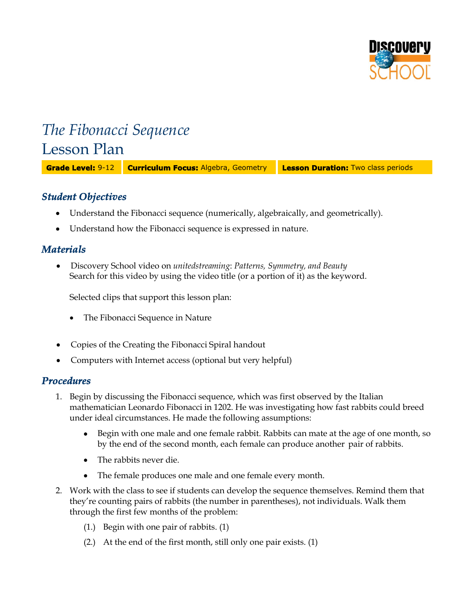

# *The Fibonacci Sequence* Lesson Plan

**Grade Level:** 9-12 **Curriculum Focus:** Algebra, Geometry **Lesson Duration:** Two class periods

# *Student Objectives*

- Understand the Fibonacci sequence (numerically, algebraically, and geometrically).
- Understand how the Fibonacci sequence is expressed in nature.

# *Materials*

 Discovery School video on *unitedstreaming*: *Patterns, Symmetry, and Beauty* Search for this video by using the video title (or a portion of it) as the keyword.

Selected clips that support this lesson plan:

- The Fibonacci Sequence in Nature
- Copies of the Creating the Fibonacci Spiral handout
- Computers with Internet access (optional but very helpful)

# *Procedures*

- 1. Begin by discussing the Fibonacci sequence, which was first observed by the Italian mathematician Leonardo Fibonacci in 1202. He was investigating how fast rabbits could breed under ideal circumstances. He made the following assumptions:
	- Begin with one male and one female rabbit. Rabbits can mate at the age of one month, so by the end of the second month, each female can produce another pair of rabbits.
	- The rabbits never die.
	- The female produces one male and one female every month.
- 2. Work with the class to see if students can develop the sequence themselves. Remind them that they're counting pairs of rabbits (the number in parentheses), not individuals. Walk them through the first few months of the problem:
	- (1.) Begin with one pair of rabbits. (1)
	- (2.) At the end of the first month, still only one pair exists. (1)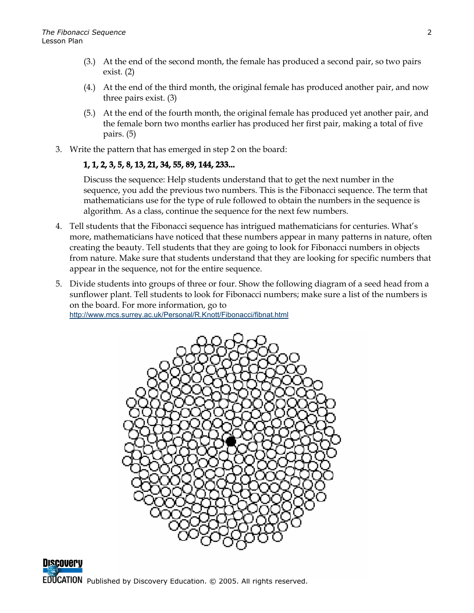- (3.) At the end of the second month, the female has produced a second pair, so two pairs exist. (2)
- (4.) At the end of the third month, the original female has produced another pair, and now three pairs exist. (3)
- (5.) At the end of the fourth month, the original female has produced yet another pair, and the female born two months earlier has produced her first pair, making a total of five pairs. (5)
- 3. Write the pattern that has emerged in step 2 on the board:

# **1, 1, 2, 3, 5, 8, 13, 21, 34, 55, 89, 144, 233...**

Discuss the sequence: Help students understand that to get the next number in the sequence, you add the previous two numbers. This is the Fibonacci sequence. The term that mathematicians use for the type of rule followed to obtain the numbers in the sequence is algorithm. As a class, continue the sequence for the next few numbers.

- 4. Tell students that the Fibonacci sequence has intrigued mathematicians for centuries. What's more, mathematicians have noticed that these numbers appear in many patterns in nature, often creating the beauty. Tell students that they are going to look for Fibonacci numbers in objects from nature. Make sure that students understand that they are looking for specific numbers that appear in the sequence, not for the entire sequence.
- 5. Divide students into groups of three or four. Show the following diagram of a seed head from a sunflower plant. Tell students to look for Fibonacci numbers; make sure a list of the numbers is on the board. For more information, go to <http://www.mcs.surrey.ac.uk/Personal/R.Knott/Fibonacci/fibnat.html>



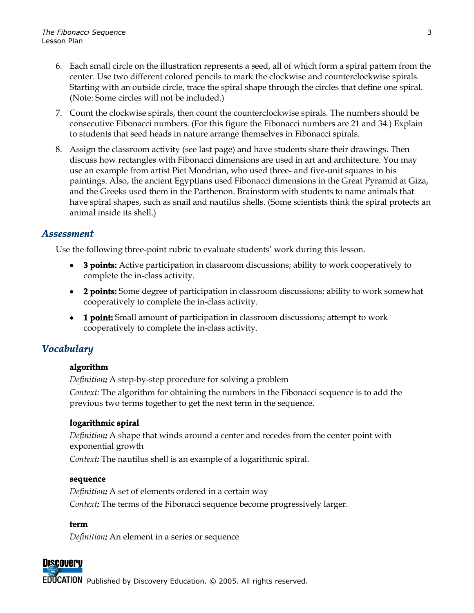- 6. Each small circle on the illustration represents a seed, all of which form a spiral pattern from the center. Use two different colored pencils to mark the clockwise and counterclockwise spirals. Starting with an outside circle, trace the spiral shape through the circles that define one spiral. (Note: Some circles will not be included.)
- 7. Count the clockwise spirals, then count the counterclockwise spirals. The numbers should be consecutive Fibonacci numbers. (For this figure the Fibonacci numbers are 21 and 34.) Explain to students that seed heads in nature arrange themselves in Fibonacci spirals.
- 8. Assign the classroom activity (see last page) and have students share their drawings. Then discuss how rectangles with Fibonacci dimensions are used in art and architecture. You may use an example from artist Piet Mondrian, who used three- and five-unit squares in his paintings. Also, the ancient Egyptians used Fibonacci dimensions in the Great Pyramid at Giza, and the Greeks used them in the Parthenon. Brainstorm with students to name animals that have spiral shapes, such as snail and nautilus shells. (Some scientists think the spiral protects an animal inside its shell.)

# *Assessment*

Use the following three-point rubric to evaluate students' work during this lesson.

- **3 points:** Active participation in classroom discussions; ability to work cooperatively to complete the in-class activity.
- **2 points:** Some degree of participation in classroom discussions; ability to work somewhat cooperatively to complete the in-class activity.
- **1 point:** Small amount of participation in classroom discussions; attempt to work cooperatively to complete the in-class activity.

# *Vocabulary*

#### **algorithm**

*Definition:* A step-by-step procedure for solving a problem

*Context:* The algorithm for obtaining the numbers in the Fibonacci sequence is to add the previous two terms together to get the next term in the sequence.

#### **logarithmic spiral**

*Definition:* A shape that winds around a center and recedes from the center point with exponential growth

*Context:* The nautilus shell is an example of a logarithmic spiral.

#### **sequence**

*Definition:* A set of elements ordered in a certain way *Context:* The terms of the Fibonacci sequence become progressively larger.

#### **term**

*Definition:* An element in a series or sequence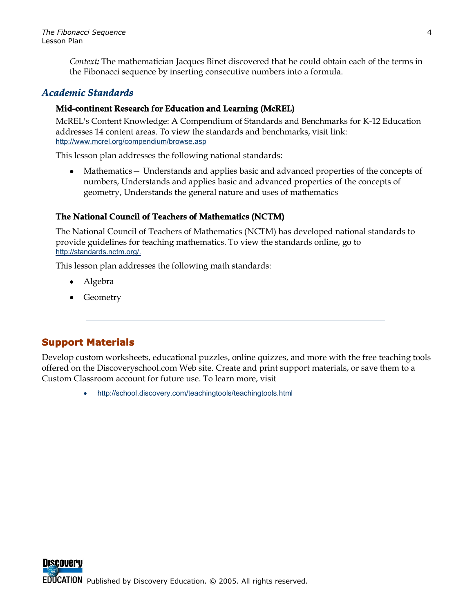*Context:* The mathematician Jacques Binet discovered that he could obtain each of the terms in the Fibonacci sequence by inserting consecutive numbers into a formula.

# *Academic Standards*

### **Mid-continent Research for Education and Learning (McREL)**

McREL's Content Knowledge: A Compendium of Standards and Benchmarks for K-12 Education addresses 14 content areas. To view the standards and benchmarks, visit link: <http://www.mcrel.org/compendium/browse.asp>

This lesson plan addresses the following national standards:

• Mathematics — Understands and applies basic and advanced properties of the concepts of numbers, Understands and applies basic and advanced properties of the concepts of geometry, Understands the general nature and uses of mathematics

# **The National Council of Teachers of Mathematics (NCTM)**

The National Council of Teachers of Mathematics (NCTM) has developed national standards to provide guidelines for teaching mathematics. To view the standards online, go to [http://standards.nctm.org/.](http://standards.nctm.org/)

This lesson plan addresses the following math standards:

- Algebra
- Geometry

# **Support Materials**

Develop custom worksheets, educational puzzles, online quizzes, and more with the free teaching tools offered on the Discoveryschool.com Web site. Create and print support materials, or save them to a Custom Classroom account for future use. To learn more, visit

<http://school.discovery.com/teachingtools/teachingtools.html>